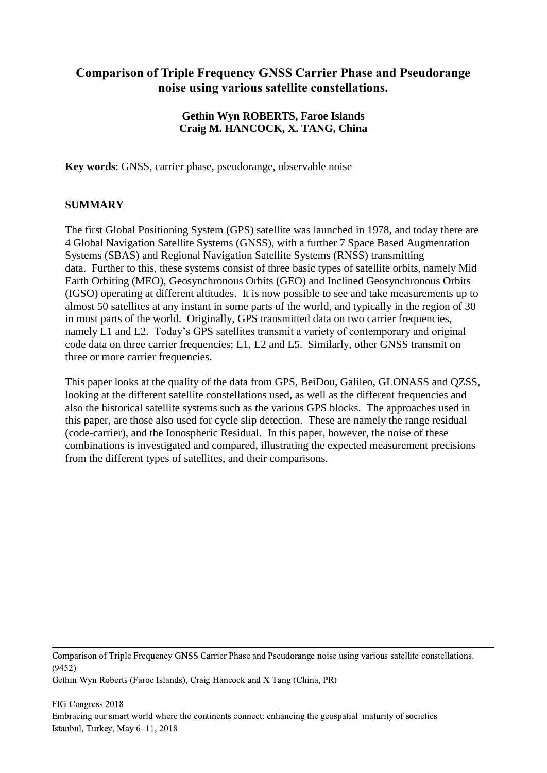# **Comparison of Triple Frequency GNSS Carrier Phase and Pseudorange noise using various satellite constellations.**

# **Gethin Wyn ROBERTS, Faroe Islands Craig M. HANCOCK, X. TANG, China**

**Key words**: GNSS, carrier phase, pseudorange, observable noise

## **SUMMARY**

The first Global Positioning System (GPS) satellite was launched in 1978, and today there are 4 Global Navigation Satellite Systems (GNSS), with a further 7 Space Based Augmentation Systems (SBAS) and Regional Navigation Satellite Systems (RNSS) transmitting data. Further to this, these systems consist of three basic types of satellite orbits, namely Mid Earth Orbiting (MEO), Geosynchronous Orbits (GEO) and Inclined Geosynchronous Orbits (IGSO) operating at different altitudes. It is now possible to see and take measurements up to almost 50 satellites at any instant in some parts of the world, and typically in the region of 30 in most parts of the world. Originally, GPS transmitted data on two carrier frequencies, namely L1 and L2. Today's GPS satellites transmit a variety of contemporary and original code data on three carrier frequencies; L1, L2 and L5. Similarly, other GNSS transmit on three or more carrier frequencies.

This paper looks at the quality of the data from GPS, BeiDou, Galileo, GLONASS and QZSS, looking at the different satellite constellations used, as well as the different frequencies and also the historical satellite systems such as the various GPS blocks. The approaches used in this paper, are those also used for cycle slip detection. These are namely the range residual (code-carrier), and the Ionospheric Residual. In this paper, however, the noise of these combinations is investigated and compared, illustrating the expected measurement precisions from the different types of satellites, and their comparisons.

Comparison of Triple Frequency GNSS Carrier Phase and Pseudorange noise using various satellite constellations. (9452)

Gethin Wyn Roberts (Faroe Islands), Craig Hancock and X Tang (China, PR)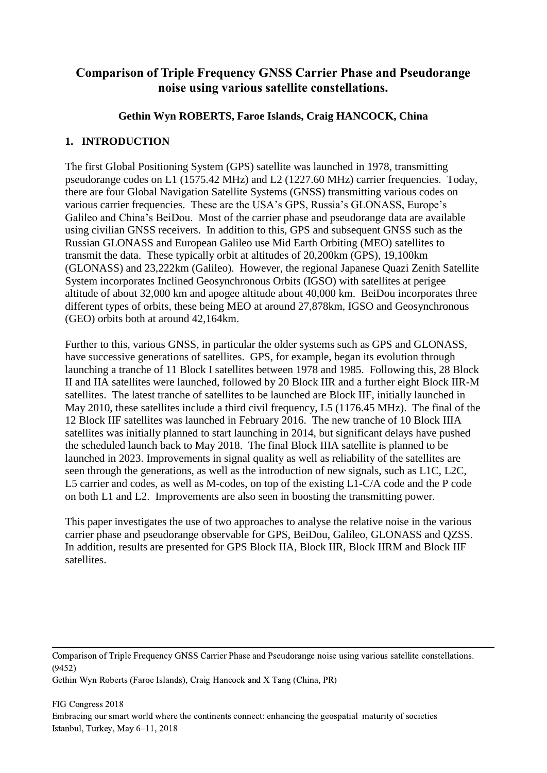# **Comparison of Triple Frequency GNSS Carrier Phase and Pseudorange noise using various satellite constellations.**

# **Gethin Wyn ROBERTS, Faroe Islands, Craig HANCOCK, China**

# **1. INTRODUCTION**

The first Global Positioning System (GPS) satellite was launched in 1978, transmitting pseudorange codes on L1 (1575.42 MHz) and L2 (1227.60 MHz) carrier frequencies. Today, there are four Global Navigation Satellite Systems (GNSS) transmitting various codes on various carrier frequencies. These are the USA's GPS, Russia's GLONASS, Europe's Galileo and China's BeiDou. Most of the carrier phase and pseudorange data are available using civilian GNSS receivers. In addition to this, GPS and subsequent GNSS such as the Russian GLONASS and European Galileo use Mid Earth Orbiting (MEO) satellites to transmit the data. These typically orbit at altitudes of 20,200km (GPS), 19,100km (GLONASS) and 23,222km (Galileo). However, the regional Japanese Quazi Zenith Satellite System incorporates Inclined Geosynchronous Orbits (IGSO) with satellites at perigee altitude of about 32,000 km and apogee altitude about 40,000 km. BeiDou incorporates three different types of orbits, these being MEO at around 27,878km, IGSO and Geosynchronous (GEO) orbits both at around 42,164km.

Further to this, various GNSS, in particular the older systems such as GPS and GLONASS, have successive generations of satellites. GPS, for example, began its evolution through launching a tranche of 11 Block I satellites between 1978 and 1985. Following this, 28 Block II and IIA satellites were launched, followed by 20 Block IIR and a further eight Block IIR-M satellites. The latest tranche of satellites to be launched are Block IIF, initially launched in May 2010, these satellites include a third civil frequency, L5 (1176.45 MHz). The final of the 12 Block IIF satellites was launched in February 2016. The new tranche of 10 Block IIIA satellites was initially planned to start launching in 2014, but significant delays have pushed the scheduled launch back to May 2018. The final Block IIIA satellite is planned to be launched in 2023. Improvements in signal quality as well as reliability of the satellites are seen through the generations, as well as the introduction of new signals, such as L1C, L2C, L5 carrier and codes, as well as M-codes, on top of the existing L1-C/A code and the P code on both L1 and L2. Improvements are also seen in boosting the transmitting power.

This paper investigates the use of two approaches to analyse the relative noise in the various carrier phase and pseudorange observable for GPS, BeiDou, Galileo, GLONASS and QZSS. In addition, results are presented for GPS Block IIA, Block IIR, Block IIRM and Block IIF satellites.

Comparison of Triple Frequency GNSS Carrier Phase and Pseudorange noise using various satellite constellations. (9452)

Gethin Wyn Roberts (Faroe Islands), Craig Hancock and X Tang (China, PR)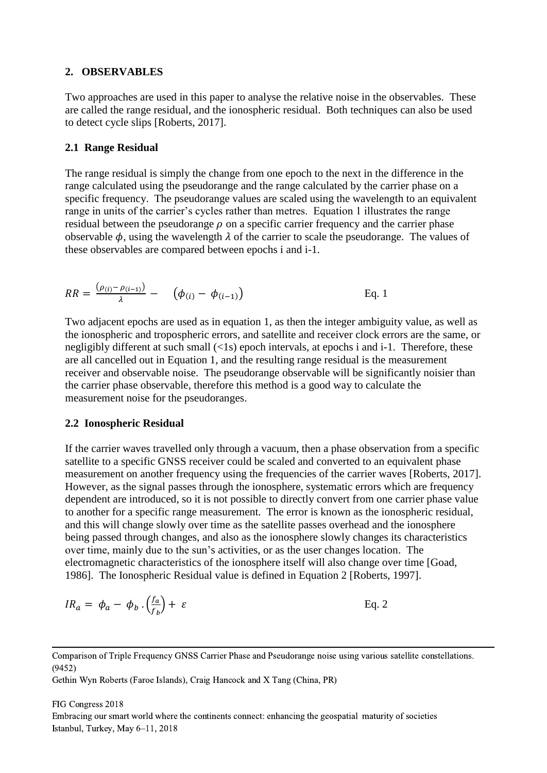### **2. OBSERVABLES**

Two approaches are used in this paper to analyse the relative noise in the observables. These are called the range residual, and the ionospheric residual. Both techniques can also be used to detect cycle slips [Roberts, 2017].

### **2.1 Range Residual**

The range residual is simply the change from one epoch to the next in the difference in the range calculated using the pseudorange and the range calculated by the carrier phase on a specific frequency. The pseudorange values are scaled using the wavelength to an equivalent range in units of the carrier's cycles rather than metres. Equation 1 illustrates the range residual between the pseudorange  $\rho$  on a specific carrier frequency and the carrier phase observable  $\phi$ , using the wavelength  $\lambda$  of the carrier to scale the pseudorange. The values of these observables are compared between epochs i and i-1.

$$
RR = \frac{(\rho_{(i)} - \rho_{(i-1)})}{\lambda} - (\phi_{(i)} - \phi_{(i-1)})
$$
 Eq. 1

Two adjacent epochs are used as in equation 1, as then the integer ambiguity value, as well as the ionospheric and tropospheric errors, and satellite and receiver clock errors are the same, or negligibly different at such small (<1s) epoch intervals, at epochs i and i-1. Therefore, these are all cancelled out in Equation 1, and the resulting range residual is the measurement receiver and observable noise. The pseudorange observable will be significantly noisier than the carrier phase observable, therefore this method is a good way to calculate the measurement noise for the pseudoranges.

### **2.2 Ionospheric Residual**

If the carrier waves travelled only through a vacuum, then a phase observation from a specific satellite to a specific GNSS receiver could be scaled and converted to an equivalent phase measurement on another frequency using the frequencies of the carrier waves [Roberts, 2017]. However, as the signal passes through the ionosphere, systematic errors which are frequency dependent are introduced, so it is not possible to directly convert from one carrier phase value to another for a specific range measurement. The error is known as the ionospheric residual, and this will change slowly over time as the satellite passes overhead and the ionosphere being passed through changes, and also as the ionosphere slowly changes its characteristics over time, mainly due to the sun's activities, or as the user changes location. The electromagnetic characteristics of the ionosphere itself will also change over time [Goad, 1986]. The Ionospheric Residual value is defined in Equation 2 [Roberts, 1997].

$$
IR_a = \phi_a - \phi_b \cdot \left(\frac{f_a}{f_b}\right) + \varepsilon
$$
 Eq. 2

Comparison of Triple Frequency GNSS Carrier Phase and Pseudorange noise using various satellite constellations. (9452)

Gethin Wyn Roberts (Faroe Islands), Craig Hancock and X Tang (China, PR)

#### FIG Congress 2018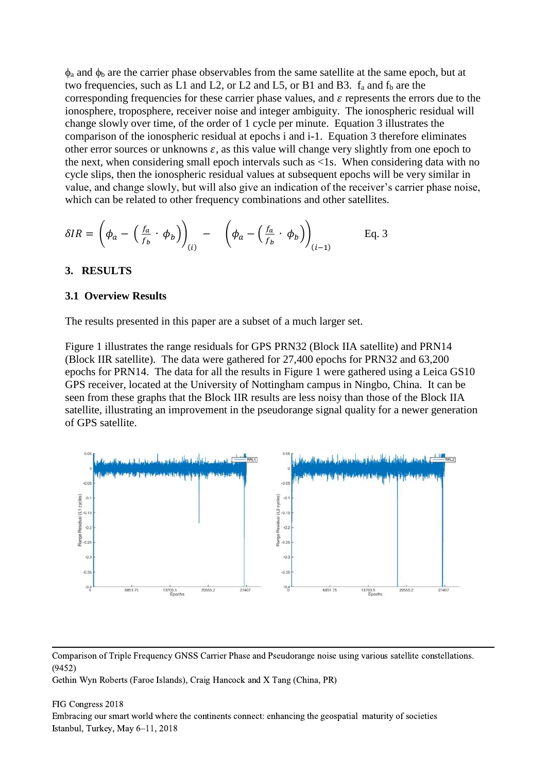$\phi_a$  and  $\phi_b$  are the carrier phase observables from the same satellite at the same epoch, but at two frequencies, such as L1 and L2, or L2 and L5, or B1 and B3.  $f_a$  and  $f_b$  are the corresponding frequencies for these carrier phase values, and  $\varepsilon$  represents the errors due to the ionosphere, troposphere, receiver noise and integer ambiguity. The ionospheric residual will change slowly over time, of the order of 1 cycle per minute. Equation 3 illustrates the comparison of the ionospheric residual at epochs i and i-1. Equation 3 therefore eliminates other error sources or unknowns  $\varepsilon$ , as this value will change very slightly from one epoch to the next, when considering small epoch intervals such as <1s. When considering data with no cycle slips, then the ionospheric residual values at subsequent epochs will be very similar in value, and change slowly, but will also give an indication of the receiver's carrier phase noise, which can be related to other frequency combinations and other satellites.

$$
\delta IR = \left(\phi_a - \left(\frac{f_a}{f_b} \cdot \phi_b\right)\right)_{(i)} - \left(\phi_a - \left(\frac{f_a}{f_b} \cdot \phi_b\right)\right)_{(i-1)} \quad \text{Eq. 3}
$$

### **3. RESULTS**

#### **3.1 Overview Results**

The results presented in this paper are a subset of a much larger set.

Figure 1 illustrates the range residuals for GPS PRN32 (Block IIA satellite) and PRN14 (Block IIR satellite). The data were gathered for 27,400 epochs for PRN32 and 63,200 epochs for PRN14. The data for all the results in Figure 1 were gathered using a Leica GS10 GPS receiver, located at the University of Nottingham campus in Ningbo, China. It can be seen from these graphs that the Block IIR results are less noisy than those of the Block IIA satellite, illustrating an improvement in the pseudorange signal quality for a newer generation of GPS satellite.



Comparison of Triple Frequency GNSS Carrier Phase and Pseudorange noise using various satellite constellations. (9452)

Gethin Wyn Roberts (Faroe Islands), Craig Hancock and X Tang (China, PR)

#### FIG Congress 2018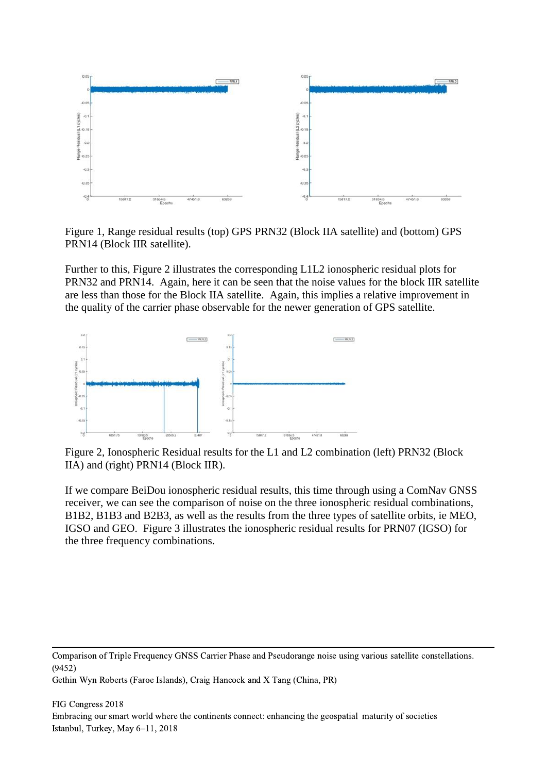

Figure 1, Range residual results (top) GPS PRN32 (Block IIA satellite) and (bottom) GPS PRN14 (Block IIR satellite).

Further to this, Figure 2 illustrates the corresponding L1L2 ionospheric residual plots for PRN32 and PRN14. Again, here it can be seen that the noise values for the block IIR satellite are less than those for the Block IIA satellite. Again, this implies a relative improvement in the quality of the carrier phase observable for the newer generation of GPS satellite.



Figure 2, Ionospheric Residual results for the L1 and L2 combination (left) PRN32 (Block IIA) and (right) PRN14 (Block IIR).

If we compare BeiDou ionospheric residual results, this time through using a ComNav GNSS receiver, we can see the comparison of noise on the three ionospheric residual combinations, B1B2, B1B3 and B2B3, as well as the results from the three types of satellite orbits, ie MEO, IGSO and GEO. Figure 3 illustrates the ionospheric residual results for PRN07 (IGSO) for the three frequency combinations.

Comparison of Triple Frequency GNSS Carrier Phase and Pseudorange noise using various satellite constellations. (9452)

Gethin Wyn Roberts (Faroe Islands), Craig Hancock and X Tang (China, PR)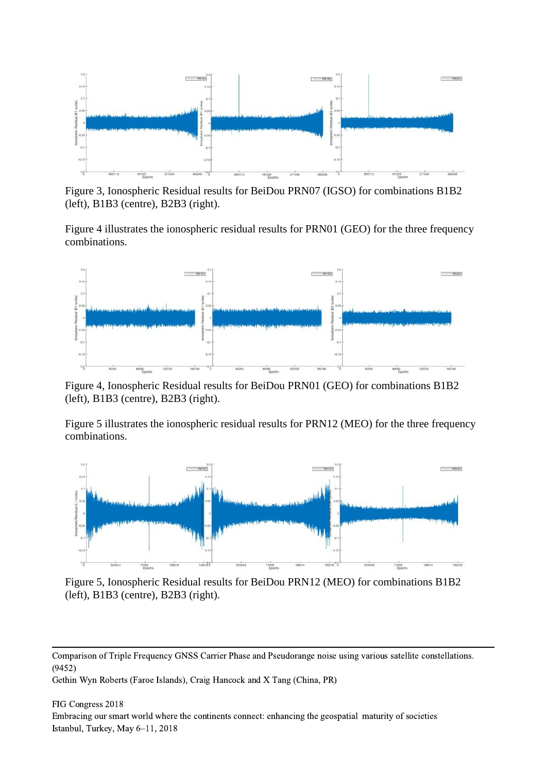

Figure 3, Ionospheric Residual results for BeiDou PRN07 (IGSO) for combinations B1B2 (left), B1B3 (centre), B2B3 (right).

Figure 4 illustrates the ionospheric residual results for PRN01 (GEO) for the three frequency combinations.



Figure 4, Ionospheric Residual results for BeiDou PRN01 (GEO) for combinations B1B2 (left), B1B3 (centre), B2B3 (right).

Figure 5 illustrates the ionospheric residual results for PRN12 (MEO) for the three frequency combinations.



Figure 5, Ionospheric Residual results for BeiDou PRN12 (MEO) for combinations B1B2 (left), B1B3 (centre), B2B3 (right).

Comparison of Triple Frequency GNSS Carrier Phase and Pseudorange noise using various satellite constellations. (9452)

Gethin Wyn Roberts (Faroe Islands), Craig Hancock and X Tang (China, PR)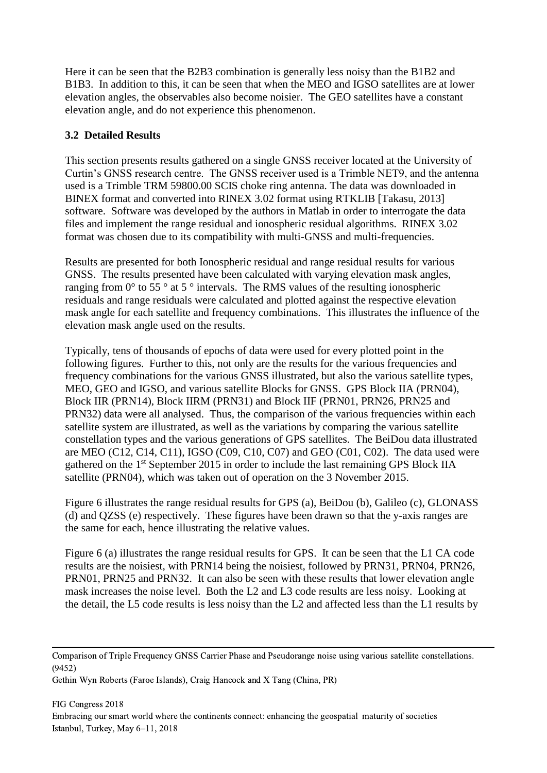Here it can be seen that the B2B3 combination is generally less noisy than the B1B2 and B1B3. In addition to this, it can be seen that when the MEO and IGSO satellites are at lower elevation angles, the observables also become noisier. The GEO satellites have a constant elevation angle, and do not experience this phenomenon.

# **3.2 Detailed Results**

This section presents results gathered on a single GNSS receiver located at the University of Curtin's GNSS research centre. The GNSS receiver used is a Trimble NET9, and the antenna used is a Trimble TRM 59800.00 SCIS choke ring antenna. The data was downloaded in BINEX format and converted into RINEX 3.02 format using RTKLIB [Takasu, 2013] software. Software was developed by the authors in Matlab in order to interrogate the data files and implement the range residual and ionospheric residual algorithms. RINEX 3.02 format was chosen due to its compatibility with multi-GNSS and multi-frequencies.

Results are presented for both Ionospheric residual and range residual results for various GNSS. The results presented have been calculated with varying elevation mask angles, ranging from  $0^{\circ}$  to 55  $^{\circ}$  at 5  $^{\circ}$  intervals. The RMS values of the resulting ionospheric residuals and range residuals were calculated and plotted against the respective elevation mask angle for each satellite and frequency combinations. This illustrates the influence of the elevation mask angle used on the results.

Typically, tens of thousands of epochs of data were used for every plotted point in the following figures. Further to this, not only are the results for the various frequencies and frequency combinations for the various GNSS illustrated, but also the various satellite types, MEO, GEO and IGSO, and various satellite Blocks for GNSS. GPS Block IIA (PRN04), Block IIR (PRN14), Block IIRM (PRN31) and Block IIF (PRN01, PRN26, PRN25 and PRN32) data were all analysed. Thus, the comparison of the various frequencies within each satellite system are illustrated, as well as the variations by comparing the various satellite constellation types and the various generations of GPS satellites. The BeiDou data illustrated are MEO (C12, C14, C11), IGSO (C09, C10, C07) and GEO (C01, C02). The data used were gathered on the 1st September 2015 in order to include the last remaining GPS Block IIA satellite (PRN04), which was taken out of operation on the 3 November 2015.

Figure 6 illustrates the range residual results for GPS (a), BeiDou (b), Galileo (c), GLONASS (d) and QZSS (e) respectively. These figures have been drawn so that the y-axis ranges are the same for each, hence illustrating the relative values.

Figure 6 (a) illustrates the range residual results for GPS. It can be seen that the L1 CA code results are the noisiest, with PRN14 being the noisiest, followed by PRN31, PRN04, PRN26, PRN01, PRN25 and PRN32. It can also be seen with these results that lower elevation angle mask increases the noise level. Both the L2 and L3 code results are less noisy. Looking at the detail, the L5 code results is less noisy than the L2 and affected less than the L1 results by

Comparison of Triple Frequency GNSS Carrier Phase and Pseudorange noise using various satellite constellations. (9452)

Gethin Wyn Roberts (Faroe Islands), Craig Hancock and X Tang (China, PR)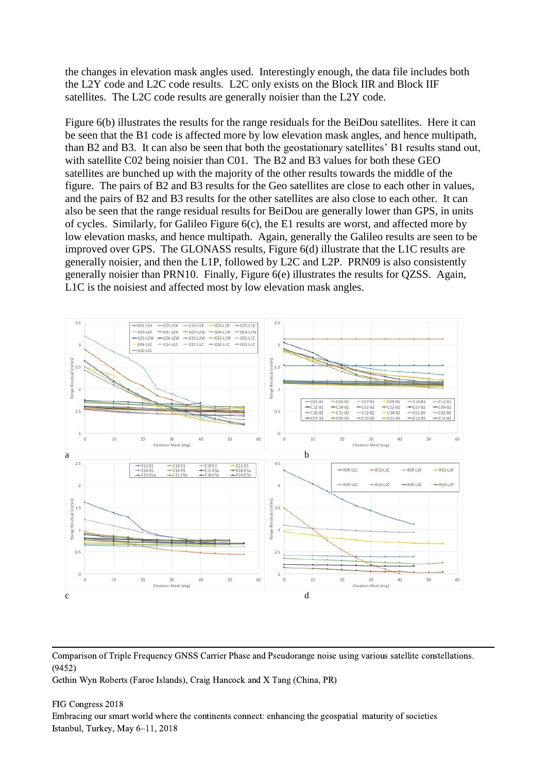the changes in elevation mask angles used. Interestingly enough, the data file includes both the L2Y code and L2C code results. L2C only exists on the Block IIR and Block IIF satellites. The L2C code results are generally noisier than the L2Y code.

Figure 6(b) illustrates the results for the range residuals for the BeiDou satellites. Here it can be seen that the B1 code is affected more by low elevation mask angles, and hence multipath, than B2 and B3. It can also be seen that both the geostationary satellites' B1 results stand out, with satellite C02 being noisier than C01. The B2 and B3 values for both these GEO satellites are bunched up with the majority of the other results towards the middle of the figure. The pairs of B2 and B3 results for the Geo satellites are close to each other in values, and the pairs of B2 and B3 results for the other satellites are also close to each other. It can also be seen that the range residual results for BeiDou are generally lower than GPS, in units of cycles. Similarly, for Galileo Figure 6(c), the E1 results are worst, and affected more by low elevation masks, and hence multipath. Again, generally the Galileo results are seen to be improved over GPS. The GLONASS results, Figure 6(d) illustrate that the L1C results are generally noisier, and then the L1P, followed by L2C and L2P. PRN09 is also consistently generally noisier than PRN10. Finally, Figure 6(e) illustrates the results for QZSS. Again, L1C is the noisiest and affected most by low elevation mask angles.



Comparison of Triple Frequency GNSS Carrier Phase and Pseudorange noise using various satellite constellations. (9452)

Gethin Wyn Roberts (Faroe Islands), Craig Hancock and X Tang (China, PR)

#### FIG Congress 2018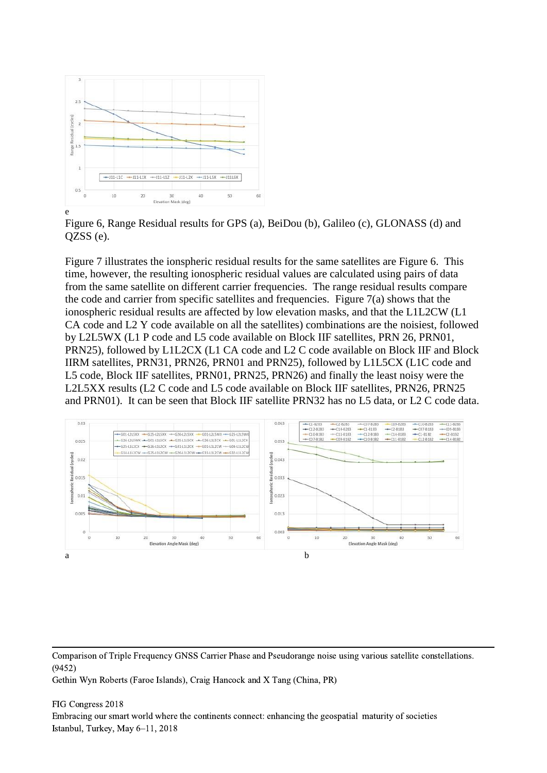

Figure 6, Range Residual results for GPS (a), BeiDou (b), Galileo (c), GLONASS (d) and QZSS (e).

Figure 7 illustrates the ionspheric residual results for the same satellites are Figure 6. This time, however, the resulting ionospheric residual values are calculated using pairs of data from the same satellite on different carrier frequencies. The range residual results compare the code and carrier from specific satellites and frequencies. Figure 7(a) shows that the ionospheric residual results are affected by low elevation masks, and that the L1L2CW (L1 CA code and L2 Y code available on all the satellites) combinations are the noisiest, followed by L2L5WX (L1 P code and L5 code available on Block IIF satellites, PRN 26, PRN01, PRN25), followed by L1L2CX (L1 CA code and L2 C code available on Block IIF and Block IIRM satellites, PRN31, PRN26, PRN01 and PRN25), followed by L1L5CX (L1C code and L5 code, Block IIF satellites, PRN01, PRN25, PRN26) and finally the least noisy were the L2L5XX results (L2 C code and L5 code available on Block IIF satellites, PRN26, PRN25 and PRN01). It can be seen that Block IIF satellite PRN32 has no L5 data, or L2 C code data.



Comparison of Triple Frequency GNSS Carrier Phase and Pseudorange noise using various satellite constellations. (9452)

Gethin Wyn Roberts (Faroe Islands), Craig Hancock and X Tang (China, PR)

#### FIG Congress 2018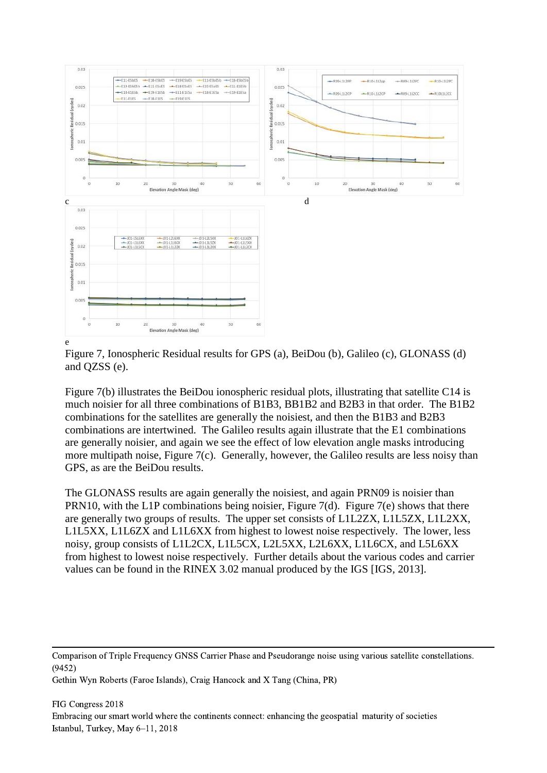



Figure 7(b) illustrates the BeiDou ionospheric residual plots, illustrating that satellite C14 is much noisier for all three combinations of B1B3, BB1B2 and B2B3 in that order. The B1B2 combinations for the satellites are generally the noisiest, and then the B1B3 and B2B3 combinations are intertwined. The Galileo results again illustrate that the E1 combinations are generally noisier, and again we see the effect of low elevation angle masks introducing more multipath noise, Figure 7(c). Generally, however, the Galileo results are less noisy than GPS, as are the BeiDou results.

The GLONASS results are again generally the noisiest, and again PRN09 is noisier than PRN10, with the L1P combinations being noisier, Figure 7(d). Figure 7(e) shows that there are generally two groups of results. The upper set consists of L1L2ZX, L1L5ZX, L1L2XX, L1L5XX, L1L6ZX and L1L6XX from highest to lowest noise respectively. The lower, less noisy, group consists of L1L2CX, L1L5CX, L2L5XX, L2L6XX, L1L6CX, and L5L6XX from highest to lowest noise respectively. Further details about the various codes and carrier values can be found in the RINEX 3.02 manual produced by the IGS [IGS, 2013].

Comparison of Triple Frequency GNSS Carrier Phase and Pseudorange noise using various satellite constellations. (9452)

Gethin Wyn Roberts (Faroe Islands), Craig Hancock and X Tang (China, PR)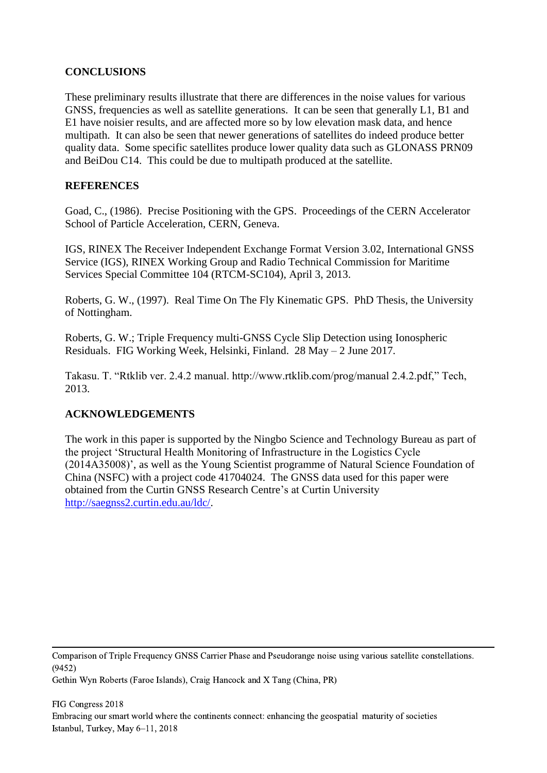### **CONCLUSIONS**

These preliminary results illustrate that there are differences in the noise values for various GNSS, frequencies as well as satellite generations. It can be seen that generally L1, B1 and E1 have noisier results, and are affected more so by low elevation mask data, and hence multipath. It can also be seen that newer generations of satellites do indeed produce better quality data. Some specific satellites produce lower quality data such as GLONASS PRN09 and BeiDou C14. This could be due to multipath produced at the satellite.

### **REFERENCES**

Goad, C., (1986). Precise Positioning with the GPS. Proceedings of the CERN Accelerator School of Particle Acceleration, CERN, Geneva.

IGS, RINEX The Receiver Independent Exchange Format Version 3.02, International GNSS Service (IGS), RINEX Working Group and Radio Technical Commission for Maritime Services Special Committee 104 (RTCM-SC104), April 3, 2013.

Roberts, G. W., (1997). Real Time On The Fly Kinematic GPS. PhD Thesis, the University of Nottingham.

Roberts, G. W.; Triple Frequency multi-GNSS Cycle Slip Detection using Ionospheric Residuals. FIG Working Week, Helsinki, Finland. 28 May – 2 June 2017.

Takasu. T. "Rtklib ver. 2.4.2 manual. http://www.rtklib.com/prog/manual 2.4.2.pdf," Tech, 2013.

## **ACKNOWLEDGEMENTS**

The work in this paper is supported by the Ningbo Science and Technology Bureau as part of the project 'Structural Health Monitoring of Infrastructure in the Logistics Cycle (2014A35008)', as well as the Young Scientist programme of Natural Science Foundation of China (NSFC) with a project code 41704024. The GNSS data used for this paper were obtained from the Curtin GNSS Research Centre's at Curtin University [http://saegnss2.curtin.edu.au/ldc/.](http://saegnss2.curtin.edu.au/ldc/)

Comparison of Triple Frequency GNSS Carrier Phase and Pseudorange noise using various satellite constellations. (9452)

Gethin Wyn Roberts (Faroe Islands), Craig Hancock and X Tang (China, PR)